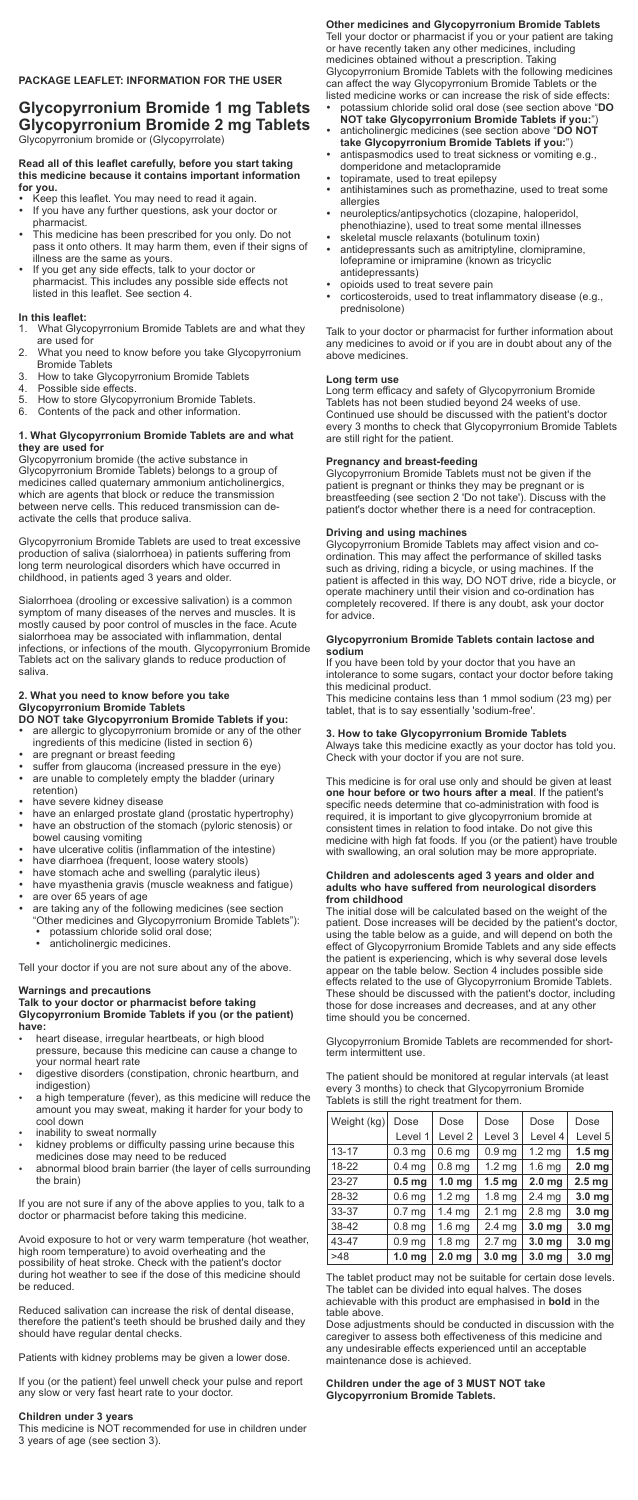**Other medicines and Glycopyrronium Bromide Tablets** Tell your doctor or pharmacist if you or your patient are taking or have recently taken any other medicines, including medicines obtained without a prescription. Taking Glycopyrronium Bromide Tablets with the following medicines can affect the way Glycopyrronium Bromide Tablets or the listed medicine works or can increase the risk of side effects: -

- potassium chloride solid oral dose (see section above "**DO NOT take Glycopyrronium Bromide Tablets if you:**")
- anticholinergic medicines (see section above "**DO NOT take Glycopyrronium Bromide Tablets if you:**")
- antispasmodics used to treat sickness or vomiting e.g., domperidone and metaclopramide
- topiramate, used to treat epilepsy -
- antihistamines such as promethazine, used to treat some allergies
- neuroleptics/antipsychotics (clozapine, haloperidol, phenothiazine), used to treat some mental illnesses
- skeletal muscle relaxants (botulinum toxin) -
- antidepressants such as amitriptyline, clomipramine, lofepramine or imipramine (known as tricyclic antidepressants)
- opioids used to treat severe pain -
- corticosteroids, used to treat inflammatory disease (e.g., prednisolone)

Glycopyrronium Bromide Tablets must not be given if the patient is pregnant or thinks they may be pregnant or is breastfeeding (see section 2 'Do not take'). Discuss with the patient's doctor whether there is a need for contraception.

Talk to your doctor or pharmacist for further information about any medicines to avoid or if you are in doubt about any of the above medicines.

#### **Long term use**

Long term efficacy and safety of Glycopyrronium Bromide Tablets has not been studied beyond 24 weeks of use. Continued use should be discussed with the patient's doctor every 3 months to check that Glycopyrronium Bromide Tablets are still right for the patient.

### **Pregnancy and breast-feeding**

## **Driving and using machines**

Glycopyrronium Bromide Tablets may affect vision and coordination. This may affect the performance of skilled tasks such as driving, riding a bicycle, or using machines. If the patient is affected in this way, DO NOT drive, ride a bicycle, or operate machinery until their vision and co-ordination has completely recovered. If there is any doubt, ask your doctor for advice.

#### **Glycopyrronium Bromide Tablets contain lactose and sodium**

If you have been told by your doctor that you have an intolerance to some sugars, contact your doctor before taking this medicinal product.

This medicine contains less than 1 mmol sodium (23 mg) per tablet, that is to say essentially 'sodium-free'.

## **3. How to take Glycopyrronium Bromide Tablets**

- Keep this leaflet. You may need to read it again. -
- If you have any further questions, ask your doctor or pharmacist.
- This medicine has been prescribed for you only. Do not pass it onto others. It may harm them, even if their signs of illness are the same as yours.
- If you get any side effects, talk to your doctor or pharmacist. This includes any possible side effects not listed in this leaflet. See section 4.

Always take this medicine exactly as your doctor has told you. Check with your doctor if you are not sure.

This medicine is for oral use only and should be given at least **one hour before or two hours after a meal**. If the patient's specific needs determine that co-administration with food is required, it is important to give glycopyrronium bromide at consistent times in relation to food intake. Do not give this medicine with high fat foods. If you (or the patient) have trouble with swallowing, an oral solution may be more appropriate.

#### **Children and adolescents aged 3 years and older and adults who have suffered from neurological disorders from childhood**

The initial dose will be calculated based on the weight of the patient. Dose increases will be decided by the patient's doctor, using the table below as a guide, and will depend on both the effect of Glycopyrronium Bromide Tablets and any side effects the patient is experiencing, which is why several dose levels appear on the table below. Section 4 includes possible side effects related to the use of Glycopyrronium Bromide Tablets. These should be discussed with the patient's doctor, including those for dose increases and decreases, and at any other time should you be concerned.

Glycopyrronium Bromide Tablets are recommended for shortterm intermittent use.

The patient should be monitored at regular intervals (at least every 3 months) to check that Glycopyrronium Bromide Tablets is still the right treatment for them.

The tablet product may not be suitable for certain dose levels. The tablet can be divided into equal halves. The doses achievable with this product are emphasised in **bold** in the table above.

Dose adjustments should be conducted in discussion with the caregiver to assess both effectiveness of this medicine and any undesirable effects experienced until an acceptable maintenance dose is achieved.

#### **Children under the age of 3 MUST NOT take Glycopyrronium Bromide Tablets.**

## **PACKAGE LEAFLET: INFORMATION FOR THE USER**

**Glycopyrronium Bromide 1 mg Tablets Glycopyrronium Bromide 2 mg Tablets** Glycopyrronium bromide or (Glycopyrrolate)

#### **Read all of this leaflet carefully, before you start taking this medicine because it contains important information for you.** -

## **In this leaflet:**

- 1. What Glycopyrronium Bromide Tablets are and what they are used for
- 2. What you need to know before you take Glycopyrronium Bromide Tablets
- 3. How to take Glycopyrronium Bromide Tablets
- 4. Possible side effects.<br>5. How to store Glycopy
- 5. How to store Glycopyrronium Bromide Tablets.
- 6. Contents of the pack and other information.

## **1. What Glycopyrronium Bromide Tablets are and what they are used for**

Glycopyrronium bromide (the active substance in Glycopyrronium Bromide Tablets) belongs to a group of medicines called quaternary ammonium anticholinergics, which are agents that block or reduce the transmission between nerve cells. This reduced transmission can deactivate the cells that produce saliva.

Glycopyrronium Bromide Tablets are used to treat excessive production of saliva (sialorrhoea) in patients suffering from long term neurological disorders which have occurred in childhood, in patients aged 3 years and older.

Sialorrhoea (drooling or excessive salivation) is a common symptom of many diseases of the nerves and muscles. It is mostly caused by poor control of muscles in the face. Acute sialorrhoea may be associated with inflammation, dental infections, or infections of the mouth. Glycopyrronium Bromide Tablets act on the salivary glands to reduce production of saliva.

## **2. What you need to know before you take Glycopyrronium Bromide Tablets**

- **DO NOT take Glycopyrronium Bromide Tablets if you:** are allergic to glycopyrronium bromide or any of the other
- ingredients of this medicine (listed in section 6)
- are pregnant or breast feeding -
- suffer from glaucoma (increased pressure in the eye) are unable to completely empty the bladder (urinary
- retention)
- have severe kidney disease -
- have an enlarged prostate gland (prostatic hypertrophy) have an obstruction of the stomach (pyloric stenosis) or bowel causing vomiting
- have ulcerative colitis (inflammation of the intestine) -
- have diarrhoea (frequent, loose watery stools) -
- have stomach ache and swelling (paralytic ileus) -
- have myasthenia gravis (muscle weakness and fatigue) are over 65 years of age -
- are taking any of the following medicines (see section
- "Other medicines and Glycopyrronium Bromide Tablets"): potassium chloride solid oral dose;
	- anticholinergic medicines.

Tell your doctor if you are not sure about any of the above.

# **Warnings and precautions**

#### **Talk to your doctor or pharmacist before taking Glycopyrronium Bromide Tablets if you (or the patient) have:** -

- heart disease, irregular heartbeats, or high blood pressure, because this medicine can cause a change to your normal heart rate
- digestive disorders (constipation, chronic heartburn, and indigestion)
- a high temperature (fever), as this medicine will reduce the amount you may sweat, making it harder for your body to cool down
- inability to sweat normally -
- kidney problems or difficulty passing urine because this medicines dose may need to be reduced
- abnormal blood brain barrier (the layer of cells surrounding the brain)

If you are not sure if any of the above applies to you, talk to a doctor or pharmacist before taking this medicine.

Avoid exposure to hot or very warm temperature (hot weather, high room temperature) to avoid overheating and the possibility of heat stroke. Check with the patient's doctor during hot weather to see if the dose of this medicine should be reduced.

Reduced salivation can increase the risk of dental disease, therefore the patient's teeth should be brushed daily and they should have regular dental checks.

Patients with kidney problems may be given a lower dose.

If you (or the patient) feel unwell check your pulse and report any slow or very fast heart rate to your doctor.

#### **Children under 3 years**

This medicine is NOT recommended for use in children under 3 years of age (see section 3).

| Weight (kg) | Dose              | Dose               | Dose              | Dose              | Dose              |
|-------------|-------------------|--------------------|-------------------|-------------------|-------------------|
|             | Level 1           | Level <sub>2</sub> | Level 3           | Level 4           | Level 5           |
| $13 - 17$   | 0.3 <sub>mq</sub> | 0.6 <sub>mg</sub>  | 0.9 <sub>mg</sub> | $1.2 \text{ mg}$  | 1.5 <sub>mg</sub> |
| 18-22       | 0.4 <sub>mg</sub> | 0.8 <sub>mg</sub>  | 1.2 <sub>mg</sub> | 1.6 <sub>mg</sub> | 2.0 <sub>mg</sub> |
| 23-27       | 0.5 <sub>mg</sub> | 1.0 <sub>mg</sub>  | 1.5 <sub>mg</sub> | 2.0 <sub>mg</sub> | 2.5 <sub>mg</sub> |
| 28-32       | 0.6 <sub>mg</sub> | 1.2 <sub>mg</sub>  | 1.8 <sub>mg</sub> | 2.4 <sub>mg</sub> | 3.0 <sub>mg</sub> |
| 33-37       | 0.7 <sub>mg</sub> | $1.4 \text{ mg}$   | 2.1 <sub>mg</sub> | 2.8 <sub>mg</sub> | 3.0 <sub>mg</sub> |
| 38-42       | 0.8 <sub>mg</sub> | 1.6 <sub>mg</sub>  | 2.4 <sub>mg</sub> | 3.0 <sub>mg</sub> | 3.0 <sub>mg</sub> |
| 43-47       | 0.9 <sub>mg</sub> | 1.8 <sub>mq</sub>  | 2.7 <sub>mg</sub> | 3.0 <sub>mg</sub> | 3.0 <sub>mg</sub> |
| >48         | 1.0 <sub>mg</sub> | 2.0 <sub>mg</sub>  | 3.0 <sub>mg</sub> | 3.0 <sub>mg</sub> | 3.0 mg            |